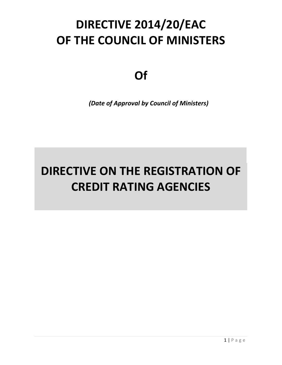# **DIRECTIVE 2014/20/EAC OF THE COUNCIL OF MINISTERS**

**Of**

*(Date of Approval by Council of Ministers)*

# **DIRECTIVE ON THE REGISTRATION OF CREDIT RATING AGENCIES**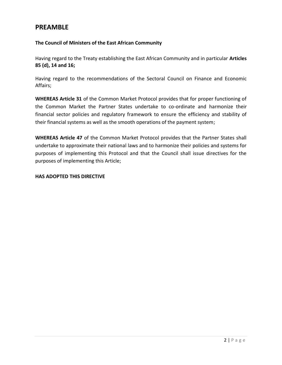# **PREAMBLE**

### **The Council of Ministers of the East African Community**

Having regard to the Treaty establishing the East African Community and in particular **Articles 85 (d), 14 and 16;**

Having regard to the recommendations of the Sectoral Council on Finance and Economic Affairs;

**WHEREAS Article 31** of the Common Market Protocol provides that for proper functioning of the Common Market the Partner States undertake to co-ordinate and harmonize their financial sector policies and regulatory framework to ensure the efficiency and stability of their financial systems as well as the smooth operations of the payment system;

**WHEREAS Article 47** of the Common Market Protocol provides that the Partner States shall undertake to approximate their national laws and to harmonize their policies and systems for purposes of implementing this Protocol and that the Council shall issue directives for the purposes of implementing this Article;

#### **HAS ADOPTED THIS DIRECTIVE**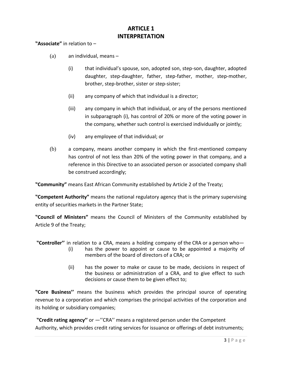# **ARTICLE 1 INTERPRETATION**

**"Associate"** in relation to –

- $(a)$  an individual, means
	- (i) that individual's spouse, son, adopted son, step-son, daughter, adopted daughter, step-daughter, father, step-father, mother, step-mother, brother, step-brother, sister or step-sister;
	- (ii) any company of which that individual is a director;
	- (iii) any company in which that individual, or any of the persons mentioned in subparagraph (i), has control of 20% or more of the voting power in the company, whether such control is exercised individually or jointly;
	- (iv) any employee of that individual; or
- (b) a company, means another company in which the first-mentioned company has control of not less than 20% of the voting power in that company, and a reference in this Directive to an associated person or associated company shall be construed accordingly;

**"Community"** means East African Community established by Article 2 of the Treaty;

**"Competent Authority"** means the national regulatory agency that is the primary supervising entity of securities markets in the Partner State;

**"Council of Ministers"** means the Council of Ministers of the Community established by Article 9 of the Treaty;

- **"Controller''** in relation to a CRA, means a holding company of the CRA or a person who— (i) has the power to appoint or cause to be appointed a majority of
	- members of the board of directors of a CRA; or
	- (ii) has the power to make or cause to be made, decisions in respect of the business or administration of a CRA, and to give effect to such decisions or cause them to be given effect to;

**"Core Business''** means the business which provides the principal source of operating revenue to a corporation and which comprises the principal activities of the corporation and its holding or subsidiary companies;

**"Credit rating agency''** or ―''CRA'' means a registered person under the Competent Authority, which provides credit rating services for issuance or offerings of debt instruments;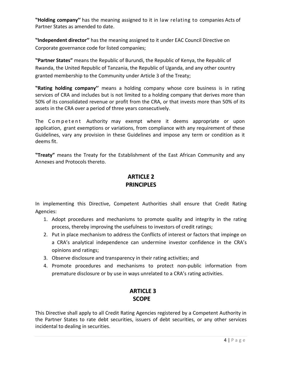**"Holding company''** has the meaning assigned to it in law relating to companies Acts of Partner States as amended to date.

**"Independent director''** has the meaning assigned to it under EAC Council Directive on Corporate governance code for listed companies;

**"Partner States"** means the Republic of Burundi, the Republic of Kenya, the Republic of Rwanda, the United Republic of Tanzania, the Republic of Uganda, and any other country granted membership to the Community under Article 3 of the Treaty;

**"Rating holding company''** means a holding company whose core business is in rating services of CRA and includes but is not limited to a holding company that derives more than 50% of its consolidated revenue or profit from the CRA, or that invests more than 50% of its assets in the CRA over a period of three years consecutively.

The Competent Authority may exempt where it deems appropriate or upon application, grant exemptions or variations, from compliance with any requirement of these Guidelines, vary any provision in these Guidelines and impose any term or condition as it deems fit.

**"Treaty"** means the Treaty for the Establishment of the East African Community and any Annexes and Protocols thereto.

# **ARTICLE 2 PRINCIPLES**

In implementing this Directive, Competent Authorities shall ensure that Credit Rating Agencies:

- 1. Adopt procedures and mechanisms to promote quality and integrity in the rating process, thereby improving the usefulness to investors of credit ratings;
- 2. Put in place mechanism to address the Conflicts of interest or factors that impinge on a CRA's analytical independence can undermine investor confidence in the CRA's opinions and ratings;
- 3. Observe disclosure and transparency in their rating activities; and
- 4. Promote procedures and mechanisms to protect non-public information from premature disclosure or by use in ways unrelated to a CRA's rating activities.

# **ARTICLE 3 SCOPE**

This Directive shall apply to all Credit Rating Agencies registered by a Competent Authority in the Partner States to rate debt securities, issuers of debt securities, or any other services incidental to dealing in securities.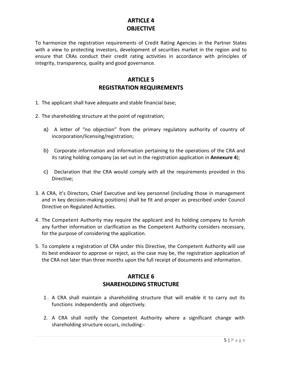# **ARTICLE 4 OBJECTIVE**

To harmonize the registration requirements of Credit Rating Agencies in the Partner States with a view to protecting investors, development of securities market in the region and to ensure that CRAs conduct their credit rating activities in accordance with principles of integrity, transparency, quality and good governance.

# **ARTICLE 5 REGISTRATION REQUIREMENTS**

- 1. The applicant shall have adequate and stable financial base;
- 2. The shareholding structure at the point of registration;
	- a) A letter of "no objection" from the primary regulatory authority of country of incorporation/licensing/registration;
	- b) Corporate information and information pertaining to the operations of the CRA and its rating holding company (as set out in the registration application in **Annexure 4**);
	- c) Declaration that the CRA would comply with all the requirements provided in this Directive;
- 3. A CRA, it's Directors, Chief Executive and key personnel (including those in management and in key decision-making positions) shall be fit and proper as prescribed under Council Directive on Regulated Activities.
- 4. The Competent Authority may require the applicant and its holding company to furnish any further information or clarification as the Competent Authority considers necessary, for the purpose of considering the application.
- 5. To complete a registration of CRA under this Directive, the Competent Authority will use its best endeavor to approve or reject, as the case may be, the registration application of the CRA not later than three months upon the full receipt of documents and information.

# **ARTICLE 6 SHAREHOLDING STRUCTURE**

- 1 . A CRA shall maintain a shareholding structure that will enable it to carry out its functions independently and objectively.
- 2. A CRA shall notify the Competent Authority where a significant change with shareholding structure occurs, including:-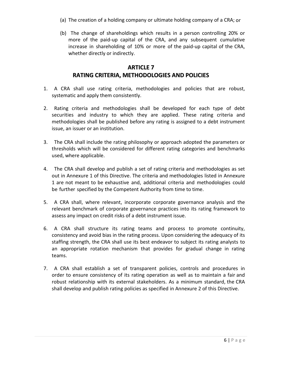- (a) The creation of a holding company or ultimate holding company of a CRA; or
- (b) The change of shareholdings which results in a person controlling 20% or more of the paid-up capital of the CRA, and any subsequent cumulative increase in shareholding of 10% or more of the paid-up capital of the CRA, whether directly or indirectly.

# **ARTICLE 7 RATING CRITERIA, METHODOLOGIES AND POLICIES**

- 1. A CRA shall use rating criteria, methodologies and policies that are robust, systematic and apply them consistently.
- 2. Rating criteria and methodologies shall be developed for each type of debt securities and industry to which they are applied. These rating criteria and methodologies shall be published before any rating is assigned to a debt instrument issue, an issuer or an institution.
- 3. The CRA shall include the rating philosophy or approach adopted the parameters or thresholds which will be considered for different rating categories and benchmarks used, where applicable.
- 4. The CRA shall develop and publish a set of rating criteria and methodologies as set out in Annexure 1 of this Directive. The criteria and methodologies listed in Annexure 1 are not meant to be exhaustive and, additional criteria and methodologies could be further specified by the Competent Authority from time to time.
- 5. A CRA shall, where relevant, incorporate corporate governance analysis and the relevant benchmark of corporate governance practices into its rating framework to assess any impact on credit risks of a debt instrument issue.
- 6. A CRA shall structure its rating teams and process to promote continuity, consistency and avoid bias in the rating process. Upon considering the adequacy of its staffing strength, the CRA shall use its best endeavor to subject its rating analysts to an appropriate rotation mechanism that provides for gradual change in rating teams.
- 7. A CRA shall establish a set of transparent policies, controls and procedures in order to ensure consistency of its rating operation as well as to maintain a fair and robust relationship with its external stakeholders. As a minimum standard, the CRA shall develop and publish rating policies as specified in Annexure 2 of this Directive.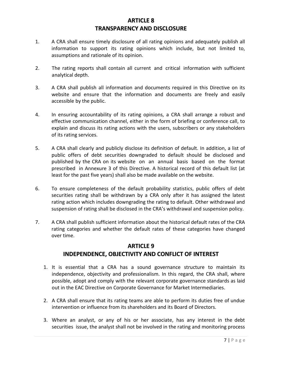# **ARTICLE 8 TRANSPARENCY AND DISCLOSURE**

- 1. A CRA shall ensure timely disclosure of all rating opinions and adequately publish all information to support its rating opinions which include, but not limited to, assumptions and rationale of its opinion.
- 2. The rating reports shall contain all current and critical information with sufficient analytical depth.
- 3. A CRA shall publish all information and documents required in this Directive on its website and ensure that the information and documents are freely and easily accessible by the public.
- 4. In ensuring accountability of its rating opinions, a CRA shall arrange a robust and effective communication channel, either in the form of briefing or conference call, to explain and discuss its rating actions with the users, subscribers or any stakeholders of its rating services.
- 5. A CRA shall clearly and publicly disclose its definition of default. In addition, a list of public offers of debt securities downgraded to default should be disclosed and published by the CRA on its website on an annual basis based on the format prescribed in Annexure 3 of this Directive. A historical record of this default list (at least for the past five years) shall also be made available on the website.
- 6. To ensure completeness of the default probability statistics, public offers of debt securities rating shall be withdrawn by a CRA only after it has assigned the latest rating action which includes downgrading the rating to default. Other withdrawal and suspension of rating shall be disclosed in the CRA's withdrawal and suspension policy.
- 7. A CRA shall publish sufficient information about the historical default rates of the CRA rating categories and whether the default rates of these categories have changed over time.

## **ARTICLE 9**

# **INDEPENDENCE, OBJECTIVITY AND CONFLICT OF INTEREST**

- 1. It is essential that a CRA has a sound governance structure to maintain its independence, objectivity and professionalism. In this regard, the CRA shall, where possible, adopt and comply with the relevant corporate governance standards as laid out in the EAC Directive on Corporate Governance for Market Intermediaries.
- 2. A CRA shall ensure that its rating teams are able to perform its duties free of undue intervention or influence from its shareholders and its Board of Directors.
- 3. Where an analyst, or any of his or her associate, has any interest in the debt securities issue, the analyst shall not be involved in the rating and monitoring process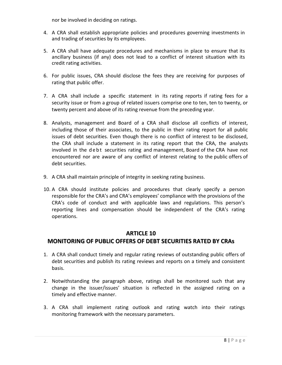nor be involved in deciding on ratings.

- 4. A CRA shall establish appropriate policies and procedures governing investments in and trading of securities by its employees.
- 5. A CRA shall have adequate procedures and mechanisms in place to ensure that its ancillary business (if any) does not lead to a conflict of interest situation with its credit rating activities.
- 6. For public issues, CRA should disclose the fees they are receiving for purposes of rating that public offer.
- 7. A CRA shall include a specific statement in its rating reports if rating fees for a security issue or from a group of related issuers comprise one to ten, ten to twenty, or twenty percent and above of its rating revenue from the preceding year.
- 8. Analysts, management and Board of a CRA shall disclose all conflicts of interest, including those of their associates, to the public in their rating report for all public issues of debt securities. Even though there is no conflict of interest to be disclosed, the CRA shall include a statement in its rating report that the CRA, the analysts involved in the debt securities rating and management, Board of the CRA have not encountered nor are aware of any conflict of interest relating to the public offers of debt securities.
- 9. A CRA shall maintain principle of integrity in seeking rating business.
- 10. A CRA should institute policies and procedures that clearly specify a person responsible for the CRA's and CRA's employees' compliance with the provisions of the CRA's code of conduct and with applicable laws and regulations. This person's reporting lines and compensation should be independent of the CRA's rating operations.

## **ARTICLE 10**

# **MONITORING OF PUBLIC OFFERS OF DEBT SECURITIES RATED BY CRAs**

- 1. A CRA shall conduct timely and regular rating reviews of outstanding public offers of debt securities and publish its rating reviews and reports on a timely and consistent basis.
- 2. Notwithstanding the paragraph above, ratings shall be monitored such that any change in the issuer/issues' situation is reflected in the assigned rating on a timely and effective manner.
- 3. A CRA shall implement rating outlook and rating watch into their ratings monitoring framework with the necessary parameters.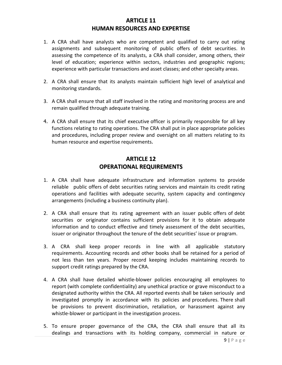# **ARTICLE 11 HUMAN RESOURCES AND EXPERTISE**

- 1. A CRA shall have analysts who are competent and qualified to carry out rating assignments and subsequent monitoring of public offers of debt securities. In assessing the competence of its analysts, a CRA shall consider, among others, their level of education; experience within sectors, industries and geographic regions; experience with particular transactions and asset classes; and other specialty areas.
- 2. A CRA shall ensure that its analysts maintain sufficient high level of analytical and monitoring standards.
- 3. A CRA shall ensure that all staff involved in the rating and monitoring process are and remain qualified through adequate training.
- 4. A CRA shall ensure that its chief executive officer is primarily responsible for all key functions relating to rating operations. The CRA shall put in place appropriate policies and procedures, including proper review and oversight on all matters relating to its human resource and expertise requirements.

# **ARTICLE 12 OPERATIONAL REQUIREMENTS**

- 1. A CRA shall have adequate infrastructure and information systems to provide reliable public offers of debt securities rating services and maintain its credit rating operations and facilities with adequate security, system capacity and contingency arrangements (including a business continuity plan).
- 2. A CRA shall ensure that its rating agreement with an issuer public offers of debt securities or originator contains sufficient provisions for it to obtain adequate information and to conduct effective and timely assessment of the debt securities, issuer or originator throughout the tenure of the debt securities' issue or program.
- 3. A CRA shall keep proper records in line with all applicable statutory requirements. Accounting records and other books shall be retained for a period of not less than ten years. Proper record keeping includes maintaining records to support credit ratings prepared by the CRA.
- 4. A CRA shall have detailed whistle-blower policies encouraging all employees to report (with complete confidentiality) any unethical practice or grave misconduct to a designated authority within the CRA. All reported events shall be taken seriously and investigated promptly in accordance with its policies and procedures. There shall be provisions to prevent discrimination, retaliation, or harassment against any whistle-blower or participant in the investigation process.
- 5. To ensure proper governance of the CRA, the CRA shall ensure that all its dealings and transactions with its holding company, commercial in nature or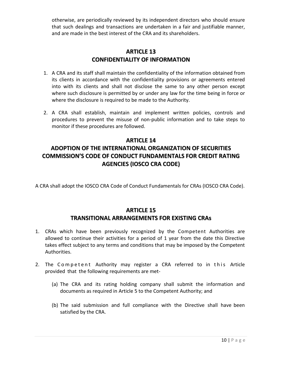otherwise, are periodically reviewed by its independent directors who should ensure that such dealings and transactions are undertaken in a fair and justifiable manner, and are made in the best interest of the CRA and its shareholders.

## **ARTICLE 13 CONFIDENTIALITY OF INFORMATION**

- 1. A CRA and its staff shall maintain the confidentiality of the information obtained from its clients in accordance with the confidentiality provisions or agreements entered into with its clients and shall not disclose the same to any other person except where such disclosure is permitted by or under any law for the time being in force or where the disclosure is required to be made to the Authority.
- 2. A CRA shall establish, maintain and implement written policies, controls and procedures to prevent the misuse of non-public information and to take steps to monitor if these procedures are followed.

## **ARTICLE 14**

# **ADOPTION OF THE INTERNATIONAL ORGANIZATION OF SECURITIES COMMISSION'S CODE OF CONDUCT FUNDAMENTALS FOR CREDIT RATING AGENCIES (IOSCO CRA CODE)**

A CRA shall adopt the IOSCO CRA Code of Conduct Fundamentals for CRAs (IOSCO CRA Code).

# **ARTICLE 15 TRANSITIONAL ARRANGEMENTS FOR EXISTING CRAs**

- 1. CRAs which have been previously recognized by the Competent Authorities are allowed to continue their activities for a period of 1 year from the date this Directive takes effect subject to any terms and conditions that may be imposed by the Competent Authorities.
- 2. The Competent Authority may register a CRA referred to in this Article provided that the following requirements are met-
	- (a) The CRA and its rating holding company shall submit the information and documents as required in Article 5 to the Competent Authority; and
	- (b) The said submission and full compliance with the Directive shall have been satisfied by the CRA.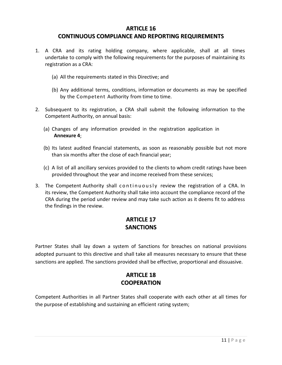## **ARTICLE 16**

## **CONTINUOUS COMPLIANCE AND REPORTING REQUIREMENTS**

- 1. A CRA and its rating holding company, where applicable, shall at all times undertake to comply with the following requirements for the purposes of maintaining its registration as a CRA:
	- (a) All the requirements stated in this Directive; and
	- (b) Any additional terms, conditions, information or documents as may be specified by the Competent Authority from time to time.
- 2. Subsequent to its registration, a CRA shall submit the following information to the Competent Authority, on annual basis:
	- (a) Changes of any information provided in the registration application in **Annexure 4**;
	- (b) Its latest audited financial statements, as soon as reasonably possible but not more than six months after the close of each financial year;
	- (c) A list of all ancillary services provided to the clients to whom credit ratings have been provided throughout the year and income received from these services;
- 3. The Competent Authority shall continuously review the registration of a CRA. In its review, the Competent Authority shall take into account the compliance record of the CRA during the period under review and may take such action as it deems fit to address the findings in the review.

# **ARTICLE 17 SANCTIONS**

Partner States shall lay down a system of Sanctions for breaches on national provisions adopted pursuant to this directive and shall take all measures necessary to ensure that these sanctions are applied. The sanctions provided shall be effective, proportional and dissuasive.

# **ARTICLE 18 COOPERATION**

Competent Authorities in all Partner States shall cooperate with each other at all times for the purpose of establishing and sustaining an efficient rating system;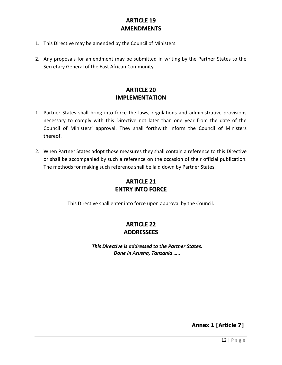# **ARTICLE 19 AMENDMENTS**

- 1. This Directive may be amended by the Council of Ministers.
- 2. Any proposals for amendment may be submitted in writing by the Partner States to the Secretary General of the East African Community.

# **ARTICLE 20 IMPLEMENTATION**

- 1. Partner States shall bring into force the laws, regulations and administrative provisions necessary to comply with this Directive not later than one year from the date of the Council of Ministers' approval. They shall forthwith inform the Council of Ministers thereof.
- 2. When Partner States adopt those measures they shall contain a reference to this Directive or shall be accompanied by such a reference on the occasion of their official publication. The methods for making such reference shall be laid down by Partner States.

# **ARTICLE 21 ENTRY INTO FORCE**

This Directive shall enter into force upon approval by the Council.

# **ARTICLE 22 ADDRESSEES**

*This Directive is addressed to the Partner States. Done in Arusha, Tanzania …..*

**Annex 1 [Article 7]**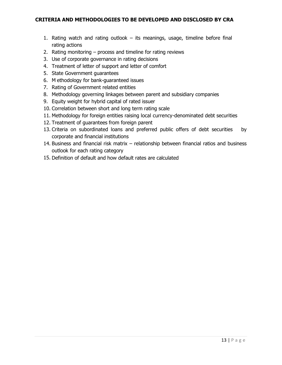- 1. Rating watch and rating outlook its meanings, usage, timeline before final rating actions
- 2. Rating monitoring process and timeline for rating reviews
- 3. Use of corporate governance in rating decisions
- 4. Treatment of letter of support and letter of comfort
- 5. State Government guarantees
- 6. M ethodology for bank-guaranteed issues
- 7. Rating of Government related entities
- 8. Methodology governing linkages between parent and subsidiary companies
- 9. Equity weight for hybrid capital of rated issuer
- 10. Correlation between short and long term rating scale
- 11. Methodology for foreign entities raising local currency-denominated debt securities
- 12. Treatment of guarantees from foreign parent
- 13. Criteria on subordinated loans and preferred public offers of debt securities by corporate and financial institutions
- 14. Business and financial risk matrix relationship between financial ratios and business outlook for each rating category
- 15. Definition of default and how default rates are calculated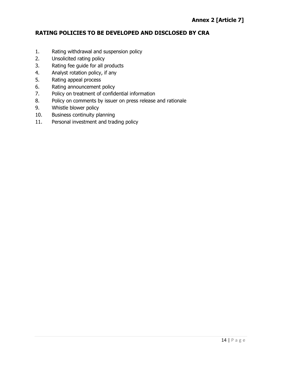## **RATING POLICIES TO BE DEVELOPED AND DISCLOSED BY CRA**

- 1. Rating withdrawal and suspension policy
- 2. Unsolicited rating policy
- 3. Rating fee guide for all products
- 4. Analyst rotation policy, if any
- 5. Rating appeal process
- 6. Rating announcement policy
- 7. Policy on treatment of confidential information
- 8. Policy on comments by issuer on press release and rationale
- 9. Whistle blower policy
- 10. Business continuity planning
- 11. Personal investment and trading policy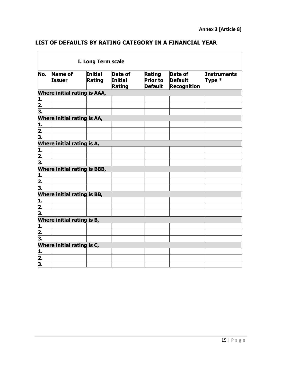## **LIST OF DEFAULTS BY RATING CATEGORY IN A FINANCIAL YEAR**

<u> 1989 - Johann Barnett, fransk politiker (d. 1989)</u>

| I. Long Term scale          |                                     |                   |                                     |                                                    |                                                 |                              |  |  |
|-----------------------------|-------------------------------------|-------------------|-------------------------------------|----------------------------------------------------|-------------------------------------------------|------------------------------|--|--|
| No.                         | <b>Name of</b><br><b>Issuer</b>     | Initial<br>Rating | Date of<br><b>Initial</b><br>Rating | <b>Rating</b><br><b>Prior to</b><br><b>Default</b> | Date of<br><b>Default</b><br><b>Recognition</b> | <b>Instruments</b><br>Type * |  |  |
|                             | <b>Where initial rating is AAA,</b> |                   |                                     |                                                    |                                                 |                              |  |  |
| 1.                          |                                     |                   |                                     |                                                    |                                                 |                              |  |  |
| $\overline{\mathbf{2}}$ .   |                                     |                   |                                     |                                                    |                                                 |                              |  |  |
| 3.                          |                                     |                   |                                     |                                                    |                                                 |                              |  |  |
|                             | <b>Where initial rating is AA,</b>  |                   |                                     |                                                    |                                                 |                              |  |  |
| 1.                          |                                     |                   |                                     |                                                    |                                                 |                              |  |  |
| 2.                          |                                     |                   |                                     |                                                    |                                                 |                              |  |  |
| 3.                          |                                     |                   |                                     |                                                    |                                                 |                              |  |  |
|                             | Where initial rating is A,          |                   |                                     |                                                    |                                                 |                              |  |  |
| <u>i.</u>                   |                                     |                   |                                     |                                                    |                                                 |                              |  |  |
| 2.                          |                                     |                   |                                     |                                                    |                                                 |                              |  |  |
| 3.                          |                                     |                   |                                     |                                                    |                                                 |                              |  |  |
|                             | <b>Where initial rating is BBB,</b> |                   |                                     |                                                    |                                                 |                              |  |  |
| 1.                          |                                     |                   |                                     |                                                    |                                                 |                              |  |  |
| $\frac{2}{3}$ .             |                                     |                   |                                     |                                                    |                                                 |                              |  |  |
|                             |                                     |                   |                                     |                                                    |                                                 |                              |  |  |
| Where initial rating is BB, |                                     |                   |                                     |                                                    |                                                 |                              |  |  |
|                             |                                     |                   |                                     |                                                    |                                                 |                              |  |  |
| $\frac{1}{2}$ .             |                                     |                   |                                     |                                                    |                                                 |                              |  |  |
| 3.                          |                                     |                   |                                     |                                                    |                                                 |                              |  |  |
| Where initial rating is B,  |                                     |                   |                                     |                                                    |                                                 |                              |  |  |
| <u>1.</u>                   |                                     |                   |                                     |                                                    |                                                 |                              |  |  |
| 2.                          |                                     |                   |                                     |                                                    |                                                 |                              |  |  |
| 3.                          |                                     |                   |                                     |                                                    |                                                 |                              |  |  |
| Where initial rating is C,  |                                     |                   |                                     |                                                    |                                                 |                              |  |  |
| 1.                          |                                     |                   |                                     |                                                    |                                                 |                              |  |  |
|                             |                                     |                   |                                     |                                                    |                                                 |                              |  |  |
| $\frac{2}{3}$               |                                     |                   |                                     |                                                    |                                                 |                              |  |  |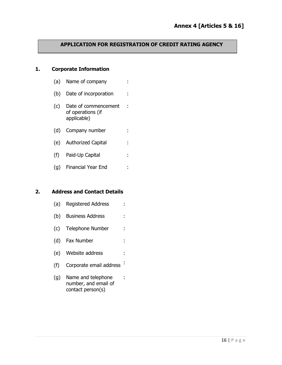## **APPLICATION FOR REGISTRATION OF CREDIT RATING AGENCY**

## **1. Corporate Information**

- (a) Name of company :
- (b) Date of incorporation :
- (c) Date of commencement : of operations (if applicable)
- (d) Company number :
- (e) Authorized Capital :
- (f) Paid-Up Capital :
- (g) Financial Year End :

#### **2. Address and Contact Details**

- (a) Registered Address :
- (b) Business Address :
- (c) Telephone Number :
- (d) Fax Number :
- (e) Website address :
- (f) Corporate email address :

:

(g) Name and telephone number, and email of contact person(s)